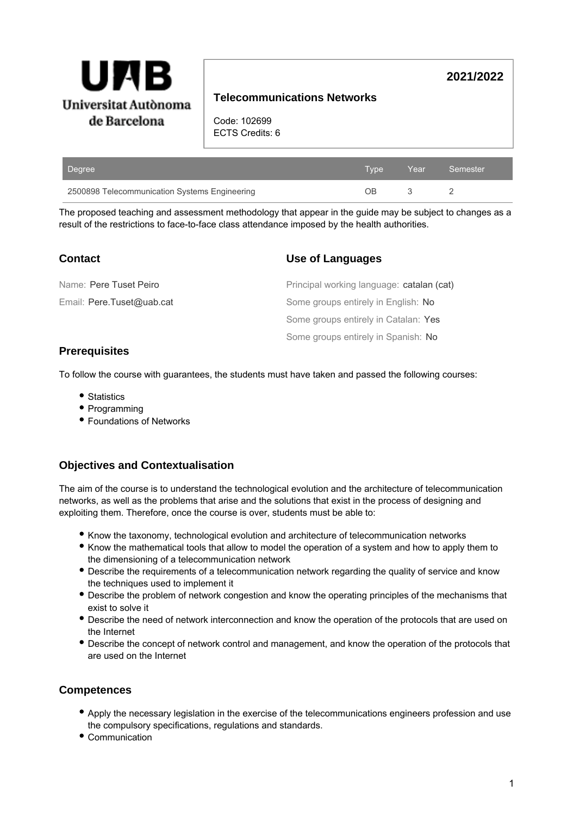

# **Telecommunications Networks**

Code: 102699 ECTS Credits: 6

| Degree                                        | Type | Year | Semester |
|-----------------------------------------------|------|------|----------|
| 2500898 Telecommunication Systems Engineering | NВ   |      |          |

The proposed teaching and assessment methodology that appear in the guide may be subject to changes as a result of the restrictions to face-to-face class attendance imposed by the health authorities.

| <b>Contact</b>            | Use of Languages                          |
|---------------------------|-------------------------------------------|
| Name: Pere Tuset Peiro    | Principal working language: catalan (cat) |
| Email: Pere.Tuset@uab.cat | Some groups entirely in English: No       |
|                           | Some groups entirely in Catalan: Yes      |
|                           | Some groups entirely in Spanish: No       |

### **Prerequisites**

To follow the course with guarantees, the students must have taken and passed the following courses:

- Statistics
- Programming
- Foundations of Networks

# **Objectives and Contextualisation**

The aim of the course is to understand the technological evolution and the architecture of telecommunication networks, as well as the problems that arise and the solutions that exist in the process of designing and exploiting them. Therefore, once the course is over, students must be able to:

- Know the taxonomy, technological evolution and architecture of telecommunication networks
- Know the mathematical tools that allow to model the operation of a system and how to apply them to the dimensioning of a telecommunication network
- Describe the requirements of a telecommunication network regarding the quality of service and know the techniques used to implement it
- Describe the problem of network congestion and know the operating principles of the mechanisms that exist to solve it
- Describe the need of network interconnection and know the operation of the protocols that are used on the Internet
- Describe the concept of network control and management, and know the operation of the protocols that are used on the Internet

### **Competences**

- Apply the necessary legislation in the exercise of the telecommunications engineers profession and use the compulsory specifications, regulations and standards.
- Communication

**2021/2022**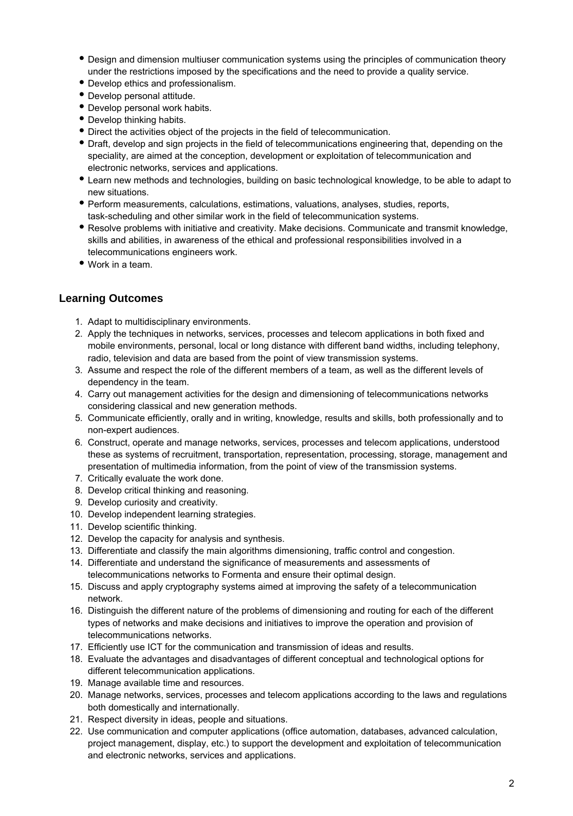- Design and dimension multiuser communication systems using the principles of communication theory under the restrictions imposed by the specifications and the need to provide a quality service.
- Develop ethics and professionalism.
- Develop personal attitude.
- Develop personal work habits.
- Develop thinking habits.
- Direct the activities object of the projects in the field of telecommunication.
- Draft, develop and sign projects in the field of telecommunications engineering that, depending on the speciality, are aimed at the conception, development or exploitation of telecommunication and electronic networks, services and applications.
- Learn new methods and technologies, building on basic technological knowledge, to be able to adapt to new situations.
- Perform measurements, calculations, estimations, valuations, analyses, studies, reports, task-scheduling and other similar work in the field of telecommunication systems.
- Resolve problems with initiative and creativity. Make decisions. Communicate and transmit knowledge, skills and abilities, in awareness of the ethical and professional responsibilities involved in a telecommunications engineers work.
- Work in a team.

# **Learning Outcomes**

- 1. Adapt to multidisciplinary environments.
- 2. Apply the techniques in networks, services, processes and telecom applications in both fixed and mobile environments, personal, local or long distance with different band widths, including telephony, radio, television and data are based from the point of view transmission systems.
- 3. Assume and respect the role of the different members of a team, as well as the different levels of dependency in the team.
- 4. Carry out management activities for the design and dimensioning of telecommunications networks considering classical and new generation methods.
- 5. Communicate efficiently, orally and in writing, knowledge, results and skills, both professionally and to non-expert audiences.
- 6. Construct, operate and manage networks, services, processes and telecom applications, understood these as systems of recruitment, transportation, representation, processing, storage, management and presentation of multimedia information, from the point of view of the transmission systems.
- 7. Critically evaluate the work done.
- 8. Develop critical thinking and reasoning.
- 9. Develop curiosity and creativity.
- 10. Develop independent learning strategies.
- 11. Develop scientific thinking.
- 12. Develop the capacity for analysis and synthesis.
- 13. Differentiate and classify the main algorithms dimensioning, traffic control and congestion.
- 14. Differentiate and understand the significance of measurements and assessments of telecommunications networks to Formenta and ensure their optimal design.
- 15. Discuss and apply cryptography systems aimed at improving the safety of a telecommunication network.
- 16. Distinguish the different nature of the problems of dimensioning and routing for each of the different types of networks and make decisions and initiatives to improve the operation and provision of telecommunications networks.
- 17. Efficiently use ICT for the communication and transmission of ideas and results.
- 18. Evaluate the advantages and disadvantages of different conceptual and technological options for different telecommunication applications.
- 19. Manage available time and resources.
- 20. Manage networks, services, processes and telecom applications according to the laws and regulations both domestically and internationally.
- 21. Respect diversity in ideas, people and situations.
- 22. Use communication and computer applications (office automation, databases, advanced calculation, project management, display, etc.) to support the development and exploitation of telecommunication and electronic networks, services and applications.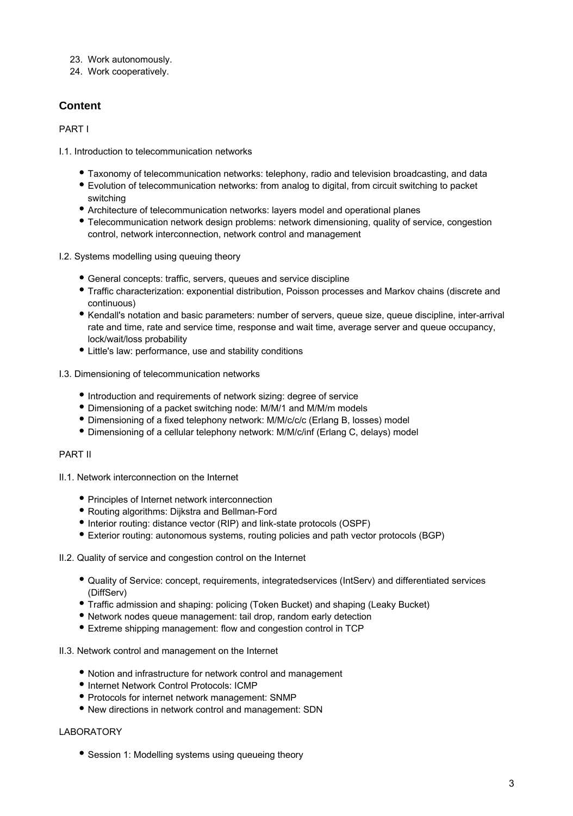- 23. Work autonomously.
- 24. Work cooperatively.

# **Content**

PART I

- I.1. Introduction to telecommunication networks
	- Taxonomy of telecommunication networks: telephony, radio and television broadcasting, and data
	- Evolution of telecommunication networks: from analog to digital, from circuit switching to packet switching
	- Architecture of telecommunication networks: layers model and operational planes
	- Telecommunication network design problems: network dimensioning, quality of service, congestion control, network interconnection, network control and management
- I.2. Systems modelling using queuing theory
	- General concepts: traffic, servers, queues and service discipline
	- Traffic characterization: exponential distribution, Poisson processes and Markov chains (discrete and continuous)
	- Kendall's notation and basic parameters: number of servers, queue size, queue discipline, inter-arrival rate and time, rate and service time, response and wait time, average server and queue occupancy, lock/wait/loss probability
	- Little's law: performance, use and stability conditions
- I.3. Dimensioning of telecommunication networks
	- Introduction and requirements of network sizing: degree of service
	- Dimensioning of a packet switching node: M/M/1 and M/M/m models
	- Dimensioning of a fixed telephony network: M/M/c/c/c (Erlang B, losses) model
	- Dimensioning of a cellular telephony network: M/M/c/inf (Erlang C, delays) model

### PART II

- II.1. Network interconnection on the Internet
	- Principles of Internet network interconnection
	- Routing algorithms: Dijkstra and Bellman-Ford
	- Interior routing: distance vector (RIP) and link-state protocols (OSPF)
	- Exterior routing: autonomous systems, routing policies and path vector protocols (BGP)

#### II.2. Quality of service and congestion control on the Internet

- Quality of Service: concept, requirements, integratedservices (IntServ) and differentiated services (DiffServ)
- Traffic admission and shaping: policing (Token Bucket) and shaping (Leaky Bucket)
- Network nodes queue management: tail drop, random early detection
- Extreme shipping management: flow and congestion control in TCP
- II.3. Network control and management on the Internet
	- Notion and infrastructure for network control and management
	- $\bullet$  Internet Network Control Protocols: ICMP
	- Protocols for internet network management: SNMP
	- New directions in network control and management: SDN

### LABORATORY

• Session 1: Modelling systems using queueing theory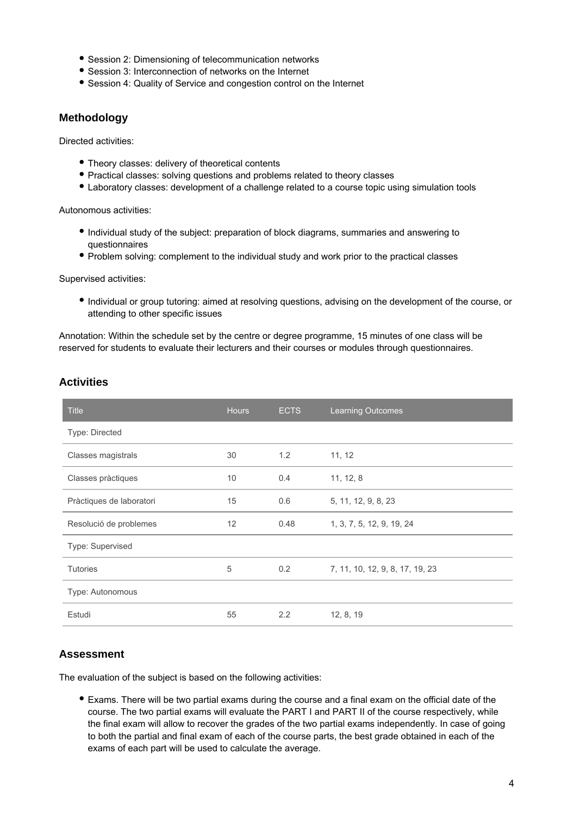- Session 2: Dimensioning of telecommunication networks
- Session 3: Interconnection of networks on the Internet
- Session 4: Quality of Service and congestion control on the Internet

### **Methodology**

Directed activities:

- Theory classes: delivery of theoretical contents
- Practical classes: solving questions and problems related to theory classes
- Laboratory classes: development of a challenge related to a course topic using simulation tools

Autonomous activities:

- Individual study of the subject: preparation of block diagrams, summaries and answering to questionnaires
- Problem solving: complement to the individual study and work prior to the practical classes

Supervised activities:

Individual or group tutoring: aimed at resolving questions, advising on the development of the course, or attending to other specific issues

Annotation: Within the schedule set by the centre or degree programme, 15 minutes of one class will be reserved for students to evaluate their lecturers and their courses or modules through questionnaires.

|  |  | <b>Activities</b> |
|--|--|-------------------|
|  |  |                   |

| <b>Title</b>             | <b>Hours</b> | <b>ECTS</b> | <b>Learning Outcomes</b>        |
|--------------------------|--------------|-------------|---------------------------------|
| Type: Directed           |              |             |                                 |
| Classes magistrals       | 30           | 1.2         | 11, 12                          |
| Classes pràctiques       | 10           | 0.4         | 11, 12, 8                       |
| Pràctiques de laboratori | 15           | 0.6         | 5, 11, 12, 9, 8, 23             |
| Resolució de problemes   | 12           | 0.48        | 1, 3, 7, 5, 12, 9, 19, 24       |
| Type: Supervised         |              |             |                                 |
| <b>Tutories</b>          | 5            | 0.2         | 7, 11, 10, 12, 9, 8, 17, 19, 23 |
| Type: Autonomous         |              |             |                                 |
| Estudi                   | 55           | 2.2         | 12, 8, 19                       |

# **Assessment**

The evaluation of the subject is based on the following activities:

Exams. There will be two partial exams during the course and a final exam on the official date of the course. The two partial exams will evaluate the PART I and PART II of the course respectively, while the final exam will allow to recover the grades of the two partial exams independently. In case of going to both the partial and final exam of each of the course parts, the best grade obtained in each of the exams of each part will be used to calculate the average.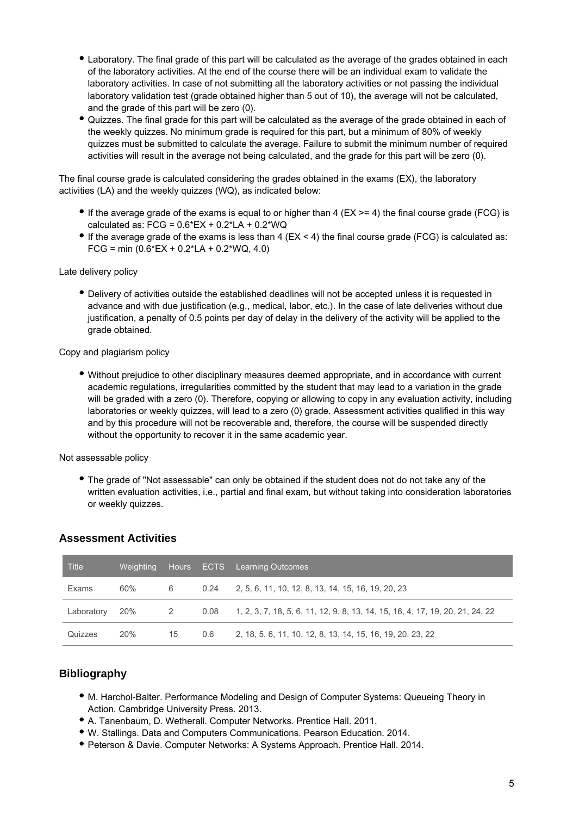- Laboratory. The final grade of this part will be calculated as the average of the grades obtained in each of the laboratory activities. At the end of the course there will be an individual exam to validate the laboratory activities. In case of not submitting all the laboratory activities or not passing the individual laboratory validation test (grade obtained higher than 5 out of 10), the average will not be calculated, and the grade of this part will be zero (0).
- Quizzes. The final grade for this part will be calculated as the average of the grade obtained in each of the weekly quizzes. No minimum grade is required for this part, but a minimum of 80% of weekly quizzes must be submitted to calculate the average. Failure to submit the minimum number of required activities will result in the average not being calculated, and the grade for this part will be zero (0).

The final course grade is calculated considering the grades obtained in the exams (EX), the laboratory activities (LA) and the weekly quizzes (WQ), as indicated below:

- If the average grade of the exams is equal to or higher than 4 ( $EX \ge 4$ ) the final course grade (FCG) is calculated as:  $FCG = 0.6*EX + 0.2*LA + 0.2*WQ$
- If the average grade of the exams is less than 4 ( $EX < 4$ ) the final course grade (FCG) is calculated as: FCG = min  $(0.6*EX + 0.2*LA + 0.2*WA, 4.0)$

#### Late delivery policy

Delivery of activities outside the established deadlines will not be accepted unless it is requested in advance and with due justification (e.g., medical, labor, etc.). In the case of late deliveries without due justification, a penalty of 0.5 points per day of delay in the delivery of the activity will be applied to the grade obtained.

#### Copy and plagiarism policy

Without prejudice to other disciplinary measures deemed appropriate, and in accordance with current academic regulations, irregularities committed by the student that may lead to a variation in the grade will be graded with a zero (0). Therefore, copying or allowing to copy in any evaluation activity, including laboratories or weekly quizzes, will lead to a zero (0) grade. Assessment activities qualified in this way and by this procedure will not be recoverable and, therefore, the course will be suspended directly without the opportunity to recover it in the same academic year.

Not assessable policy

The grade of "Not assessable" can only be obtained if the student does not do not take any of the written evaluation activities, i.e., partial and final exam, but without taking into consideration laboratories or weekly quizzes.

| <b>Title</b> | <b>Weighting</b> |    |     | Hours ECTS Learning Outcomes                                                         |
|--------------|------------------|----|-----|--------------------------------------------------------------------------------------|
| Exams        | 60%              | 6  |     | 0.24 2, 5, 6, 11, 10, 12, 8, 13, 14, 15, 16, 19, 20, 23                              |
| Laboratory   | 20%              | -2 |     | $0.08$ 1, 2, 3, 7, 18, 5, 6, 11, 12, 9, 8, 13, 14, 15, 16, 4, 17, 19, 20, 21, 24, 22 |
| Quizzes      | 20%              | 15 | 0.6 | 2, 18, 5, 6, 11, 10, 12, 8, 13, 14, 15, 16, 19, 20, 23, 22                           |

### **Assessment Activities**

### **Bibliography**

- M. Harchol-Balter. Performance Modeling and Design of Computer Systems: Queueing Theory in Action. Cambridge University Press. 2013.
- A. Tanenbaum, D. Wetherall. Computer Networks. Prentice Hall. 2011.
- W. Stallings. Data and Computers Communications. Pearson Education. 2014.
- Peterson & Davie. Computer Networks: A Systems Approach. Prentice Hall. 2014.